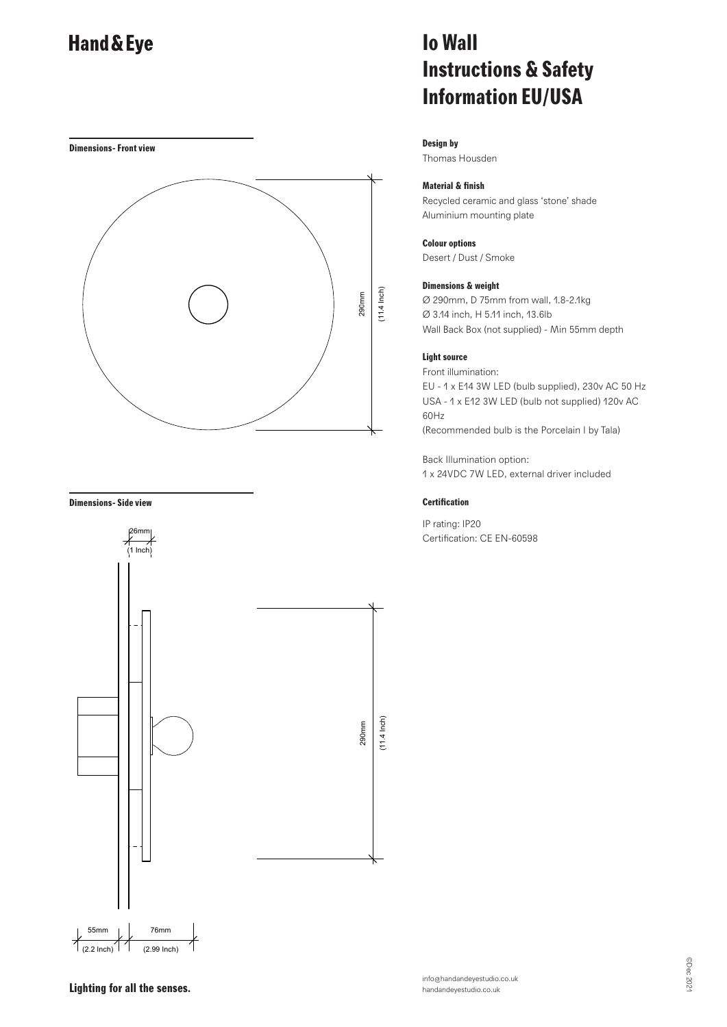**Dimensions- Front view**



#### **Dimensions- Side view**



## **Io Wall Instructions & Safety Information EU/USA**

#### **Design by**

Thomas Housden

### **Material & finish**

Recycled ceramic and glass 'stone' shade Aluminium mounting plate

#### **Colour options**

Desert / Dust / Smoke

#### **Dimensions & weight**

Ø 290mm, D 75mm from wall, 1.8-2.1kg Ø 3.14 inch, H 5.11 inch, 13.6lb Wall Back Box (not supplied) - Min 55mm depth

### **Light source**

Front illumination: EU - 1 x E14 3W LED (bulb supplied), 230v AC 50 Hz USA - 1 x E12 3W LED (bulb not supplied) 120v AC 60Hz (Recommended bulb is the Porcelain I by Tala)

Back Illumination option: 1 x 24VDC 7W LED, external driver included

### **Certification**

IP rating: IP20 Certification: CE EN-60598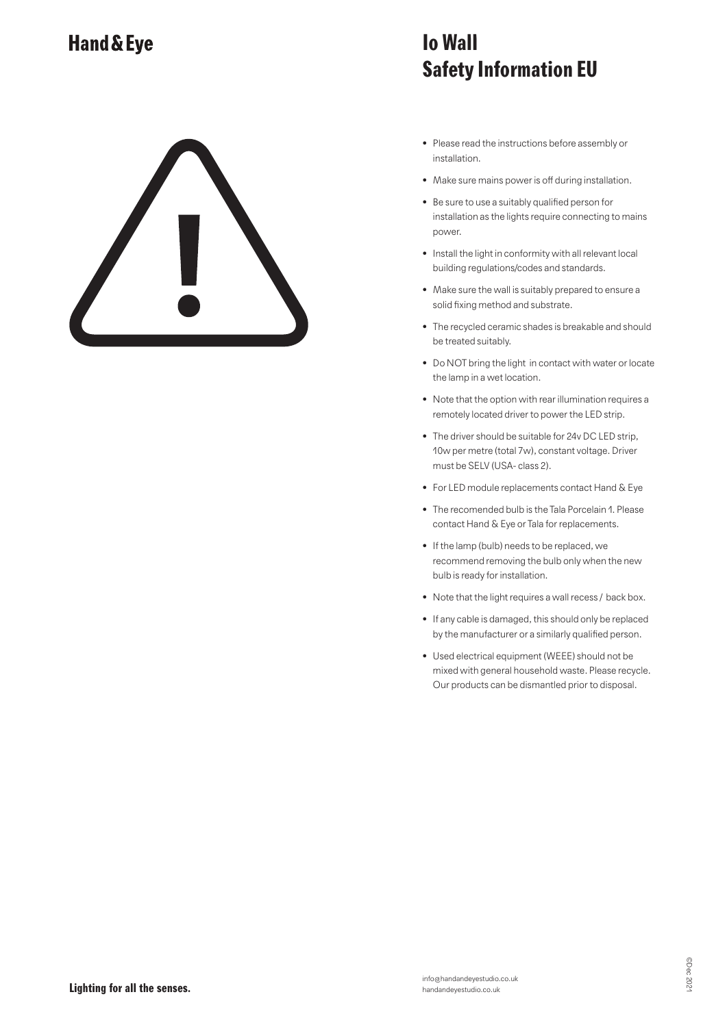### **Io Wall Safety Information EU**

- Please read the instructions before assembly or installation.
- Make sure mains power is off during installation.
- Be sure to use a suitably qualified person for installation as the lights require connecting to mains power.
- Install the light in conformity with all relevant local building regulations/codes and standards.
- Make sure the wall is suitably prepared to ensure a solid fixing method and substrate.
- The recycled ceramic shades is breakable and should be treated suitably.
- Do NOT bring the light in contact with water or locate the lamp in a wet location.
- Note that the option with rear illumination requires a remotely located driver to power the LED strip.
- The driver should be suitable for 24v DC LED strip, 10w per metre (total 7w), constant voltage. Driver must be SELV (USA- class 2).
- For LED module replacements contact Hand & Eye
- The recomended bulb is the Tala Porcelain 1. Please contact Hand & Eye or Tala for replacements.
- If the lamp (bulb) needs to be replaced, we recommend removing the bulb only when the new bulb is ready for installation.
- Note that the light requires a wall recess / back box.
- If any cable is damaged, this should only be replaced by the manufacturer or a similarly qualified person.
- Used electrical equipment (WEEE) should not be mixed with general household waste. Please recycle. Our products can be dismantled prior to disposal.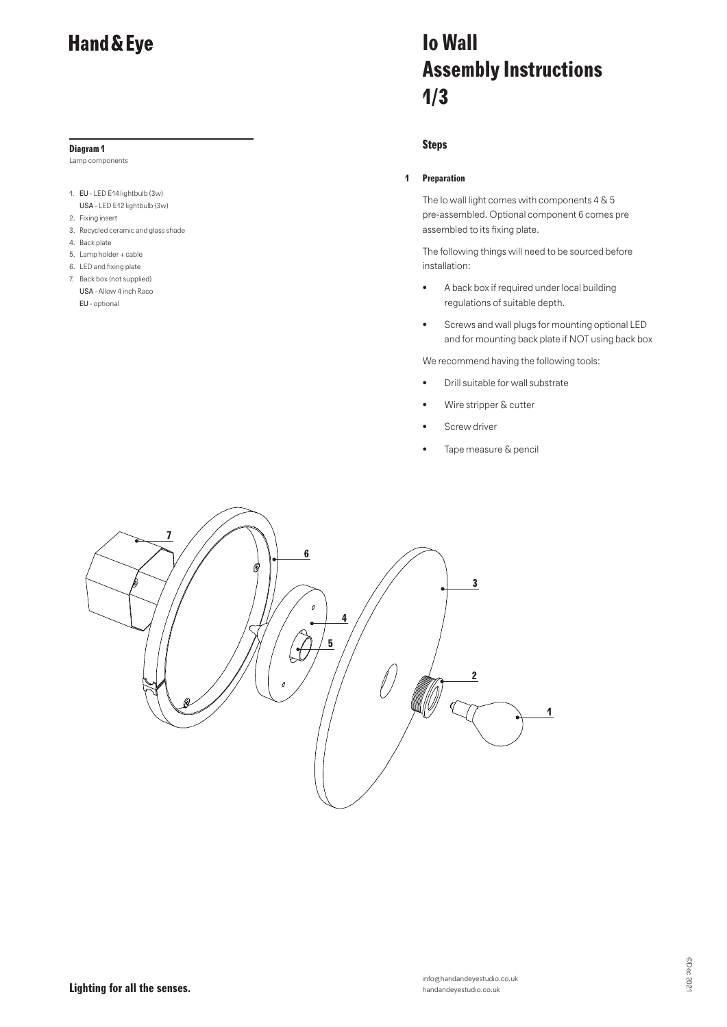#### **Diagram 1**

Lamp components

- 1. EU LED E14 lightbulb (3w) USA - LED E12 lightbulb (3w)
- 2. Fixing insert
- 3. Recycled ceramic and glass shade
- 4. Back plate
- 5. Lamp holder + cable
- 6. LED and fixing plate
- 7. Back box (not supplied) USA - Allow 4 inch Raco EU - optional

# **Io Wall Assembly Instructions 1/3**

### **Steps**

### **1 Preparation**

The Io wall light comes with components 4 & 5 pre-assembled. Optional component 6 comes pre assembled to its fixing plate.

The following things will need to be sourced before installation:

- A back box if required under local building regulations of suitable depth.
- Screws and wall plugs for mounting optional LED and for mounting back plate if NOT using back box

We recommend having the following tools:

- Drill suitable for wall substrate
- Wire stripper & cutter
- Screw driver
- Tape measure & pencil

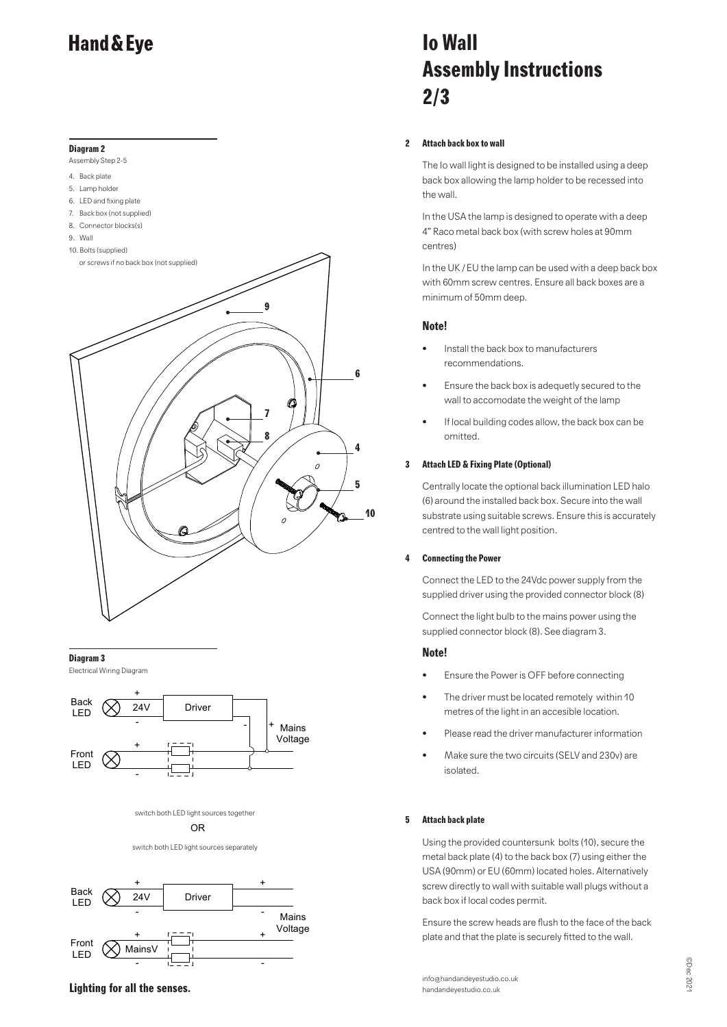### **Diagram 2**

Assembly Step 2-5

- 4. Back plate
- 5. Lamp holder
- 6. LED and fixing plate
- 7. Back box (not supplied)
- 8. Connector blocks(s)
- 9. Wall
- 10. Bolts (supplied)



### **Diagram 3**

Electrical Wiring Diagram



switch both LED light sources together

OR

switch both LED light sources separately



# **Io Wall Assembly Instructions 2/3**

### **2 Attach back box to wall**

The Io wall light is designed to be installed using a deep back box allowing the lamp holder to be recessed into the wall.

In the USA the lamp is designed to operate with a deep 4" Raco metal back box (with screw holes at 90mm centres)

In the UK / EU the lamp can be used with a deep back box with 60mm screw centres. Ensure all back boxes are a minimum of 50mm deep.

### **Note!**

- Install the back box to manufacturers recommendations.
- Ensure the back box is adequetly secured to the wall to accomodate the weight of the lamp
- If local building codes allow, the back box can be omitted.

### **3 Attach LED & Fixing Plate (Optional)**

Centrally locate the optional back illumination LED halo (6) around the installed back box. Secure into the wall substrate using suitable screws. Ensure this is accurately centred to the wall light position.

### **4 Connecting the Power**

Connect the LED to the 24Vdc power supply from the supplied driver using the provided connector block (8)

Connect the light bulb to the mains power using the supplied connector block (8). See diagram 3.

### **Note!**

**10**

- Ensure the Power is OFF before connecting
- The driver must be located remotely within 10 metres of the light in an accesible location.
- Please read the driver manufacturer information
- Make sure the two circuits (SELV and 230v) are isolated.

### **5 Attach back plate**

Using the provided countersunk bolts (10), secure the metal back plate (4) to the back box (7) using either the USA (90mm) or EU (60mm) located holes. Alternatively screw directly to wall with suitable wall plugs without a back box if local codes permit.

Ensure the screw heads are flush to the face of the back plate and that the plate is securely fitted to the wall.

info@handandeyestudio.co.uk handandeyestudio.co.uk

**Lighting for all the senses.**